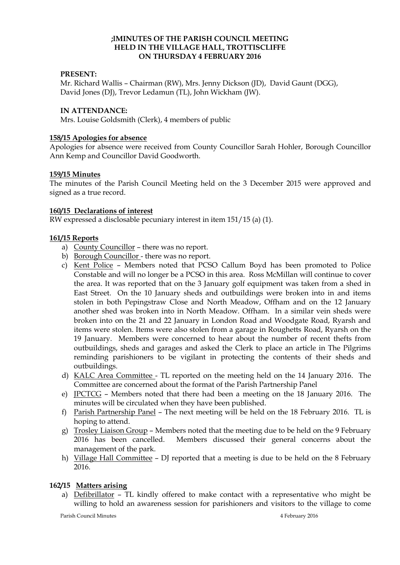### **;lMINUTES OF THE PARISH COUNCIL MEETING HELD IN THE VILLAGE HALL, TROTTISCLIFFE ON THURSDAY 4 FEBRUARY 2016**

### **PRESENT:**

Mr. Richard Wallis – Chairman (RW), Mrs. Jenny Dickson (JD), David Gaunt (DGG), David Jones (DJ), Trevor Ledamun (TL), John Wickham (JW).

### **IN ATTENDANCE:**

Mrs. Louise Goldsmith (Clerk), 4 members of public

#### **158/15 Apologies for absence**

Apologies for absence were received from County Councillor Sarah Hohler, Borough Councillor Ann Kemp and Councillor David Goodworth.

### **159/15 Minutes**

The minutes of the Parish Council Meeting held on the 3 December 2015 were approved and signed as a true record.

### **160/15 Declarations of interest**

RW expressed a disclosable pecuniary interest in item 151/15 (a) (1).

## **161/15 Reports**

- a) County Councillor there was no report.
- b) Borough Councillor there was no report.
- c) Kent Police Members noted that PCSO Callum Boyd has been promoted to Police Constable and will no longer be a PCSO in this area. Ross McMillan will continue to cover the area. It was reported that on the 3 January golf equipment was taken from a shed in East Street. On the 10 January sheds and outbuildings were broken into in and items stolen in both Pepingstraw Close and North Meadow, Offham and on the 12 January another shed was broken into in North Meadow. Offham. In a similar vein sheds were broken into on the 21 and 22 January in London Road and Woodgate Road, Ryarsh and items were stolen. Items were also stolen from a garage in Roughetts Road, Ryarsh on the 19 January. Members were concerned to hear about the number of recent thefts from outbuildings, sheds and garages and asked the Clerk to place an article in The Pilgrims reminding parishioners to be vigilant in protecting the contents of their sheds and outbuildings.
- d) KALC Area Committee TL reported on the meeting held on the 14 January 2016. The Committee are concerned about the format of the Parish Partnership Panel
- e) JPCTCG Members noted that there had been a meeting on the 18 January 2016. The minutes will be circulated when they have been published.
- f) Parish Partnership Panel The next meeting will be held on the 18 February 2016. TL is hoping to attend.
- g) Trosley Liaison Group Members noted that the meeting due to be held on the 9 February 2016 has been cancelled. Members discussed their general concerns about the management of the park.
- h) Village Hall Committee DJ reported that a meeting is due to be held on the 8 February 2016.

#### **162/15 Matters arising**

a) Defibrillator – TL kindly offered to make contact with a representative who might be willing to hold an awareness session for parishioners and visitors to the village to come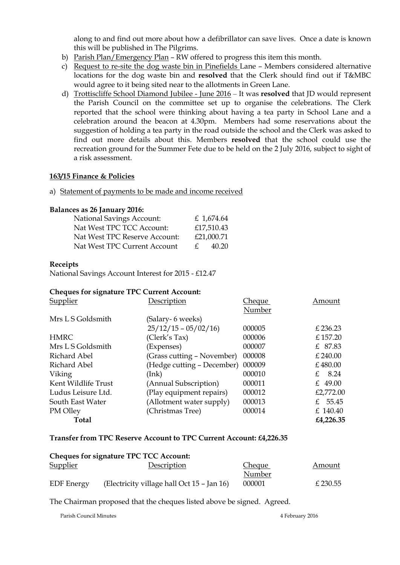along to and find out more about how a defibrillator can save lives. Once a date is known this will be published in The Pilgrims.

- b) Parish Plan/Emergency Plan RW offered to progress this item this month.
- c) Request to re-site the dog waste bin in Pinefields Lane Members considered alternative locations for the dog waste bin and **resolved** that the Clerk should find out if T&MBC would agree to it being sited near to the allotments in Green Lane.
- d) Trottiscliffe School Diamond Jubilee June 2016 It was **resolved** that JD would represent the Parish Council on the committee set up to organise the celebrations. The Clerk reported that the school were thinking about having a tea party in School Lane and a celebration around the beacon at 4.30pm. Members had some reservations about the suggestion of holding a tea party in the road outside the school and the Clerk was asked to find out more details about this. Members **resolved** that the school could use the recreation ground for the Summer Fete due to be held on the 2 July 2016, subject to sight of a risk assessment.

### **163/15 Finance & Policies**

a) Statement of payments to be made and income received

### **Balances as 26 January 2016:**

|              | £ 1,674.64 |
|--------------|------------|
|              | £17,510.43 |
|              | £21,000.71 |
| $\mathbf{f}$ | 40.20      |
|              |            |

### **Receipts**

National Savings Account Interest for 2015 - £12.47

#### **Cheques for signature TPC Current Account:**

| Supplier            | Description                | Cheque | Amount                |
|---------------------|----------------------------|--------|-----------------------|
|                     |                            | Number |                       |
| Mrs L S Goldsmith   | (Salary- 6 weeks)          |        |                       |
|                     | $25/12/15 - 05/02/16$      | 000005 | £ 236.23              |
| <b>HMRC</b>         | (Clerk's Tax)              | 000006 | £157.20               |
| Mrs L S Goldsmith   | (Expenses)                 | 000007 | £ 87.83               |
| Richard Abel        | (Grass cutting – November) | 000008 | £240.00               |
| Richard Abel        | (Hedge cutting – December) | 000009 | £480.00               |
| Viking              | (Ink)                      | 000010 | 8.24<br>$\mathcal{F}$ |
| Kent Wildlife Trust | (Annual Subscription)      | 000011 | £ 49.00               |
| Ludus Leisure Ltd.  | (Play equipment repairs)   | 000012 | £2,772.00             |
| South East Water    | (Allotment water supply)   | 000013 | £ $55.45$             |
| PM Olley            | (Christmas Tree)           | 000014 | £ 140.40              |
| <b>Total</b>        |                            |        | £4,226.35             |

#### **Transfer from TPC Reserve Account to TPC Current Account: £4,226.35**

| <b>Cheques for signature TPC TCC Account:</b> |                                            |               |          |  |  |  |
|-----------------------------------------------|--------------------------------------------|---------------|----------|--|--|--|
| <b>Supplier</b>                               | Description                                | <b>Cheque</b> | Amount   |  |  |  |
|                                               |                                            | Number        |          |  |  |  |
| <b>EDF</b> Energy                             | (Electricity village hall Oct 15 – Jan 16) | 000001        | £ 230.55 |  |  |  |

The Chairman proposed that the cheques listed above be signed. Agreed.

Parish Council Minutes **1998** 2016 2016 2016 2017 2018 2019 2016 2017 2018 2019 2016 2017 2018 2019 2017 2018 2019 2016 2017 2018 2019 2017 2018 2019 2019 2018 2019 2019 2019 2018 2019 2019 2019 2018 2019 2019 2019 2019 20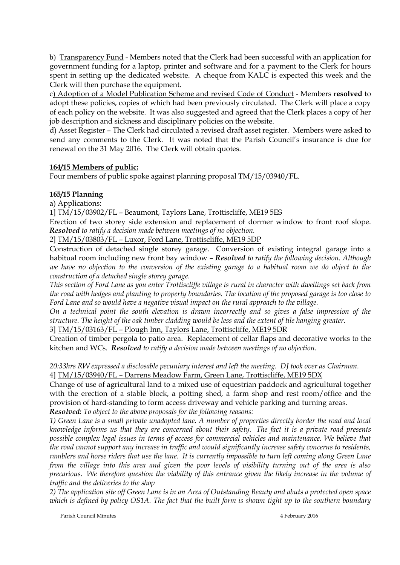b) Transparency Fund - Members noted that the Clerk had been successful with an application for government funding for a laptop, printer and software and for a payment to the Clerk for hours spent in setting up the dedicated website. A cheque from KALC is expected this week and the Clerk will then purchase the equipment.

c) Adoption of a Model Publication Scheme and revised Code of Conduct - Members **resolved** to adopt these policies, copies of which had been previously circulated. The Clerk will place a copy of each policy on the website. It was also suggested and agreed that the Clerk places a copy of her job description and sickness and disciplinary policies on the website.

d) Asset Register – The Clerk had circulated a revised draft asset register. Members were asked to send any comments to the Clerk. It was noted that the Parish Council's insurance is due for renewal on the 31 May 2016. The Clerk will obtain quotes.

# **164/15 Members of public:**

Four members of public spoke against planning proposal TM/15/03940/FL.

## **165/15 Planning**

a) Applications:

## 1] TM/15/03902/FL – Beaumont, Taylors Lane, Trottiscliffe, ME19 5ES

Erection of two storey side extension and replacement of dormer window to front roof slope. *Resolved to ratify a decision made between meetings of no objection.* 

2] TM/15/03803/FL – Luxor, Ford Lane, Trottiscliffe, ME19 5DP

Construction of detached single storey garage. Conversion of existing integral garage into a habitual room including new front bay window – *Resolved to ratify the following decision. Although*  we have no objection to the conversion of the existing garage to a habitual room we do object to the *construction of a detached single storey garage.*

*This section of Ford Lane as you enter Trottiscliffe village is rural in character with dwellings set back from the road with hedges and planting to property boundaries. The location of the proposed garage is too close to Ford Lane and so would have a negative visual impact on the rural approach to the village.*

*On a technical point the south elevation is drawn incorrectly and so gives a false impression of the structure. The height of the oak timber cladding would be less and the extent of tile hanging greater.*

3] TM/15/03163/FL – Plough Inn, Taylors Lane, Trottiscliffe, ME19 5DR

Creation of timber pergola to patio area. Replacement of cellar flaps and decorative works to the kitchen and WCs. *Resolved to ratify a decision made between meetings of no objection.*

*20:33hrs RW expressed a disclosable pecuniary interest and left the meeting. DJ took over as Chairman.* 4] TM/15/03940/FL – Darrens Meadow Farm, Green Lane, Trottiscliffe, ME19 5DX

Change of use of agricultural land to a mixed use of equestrian paddock and agricultural together with the erection of a stable block, a potting shed, a farm shop and rest room/office and the provision of hard-standing to form access driveway and vehicle parking and turning areas.

*Resolved: To object to the above proposals for the following reasons:*

*1) Green Lane is a small private unadopted lane. A number of properties directly border the road and local knowledge informs us that they are concerned about their safety. The fact it is a private road presents*  possible complex legal issues in terms of access for commercial vehicles and maintenance. We believe that *the road cannot support any increase in traffic and would significantly increase safety concerns to residents, ramblers and horse riders that use the lane. It is currently impossible to turn left coming along Green Lane from the village into this area and given the poor levels of visibility turning out of the area is also precarious. We therefore question the viability of this entrance given the likely increase in the volume of traffic and the deliveries to the shop*

*2) The application site off Green Lane is in an Area of Outstanding Beauty and abuts a protected open space*  which is defined by policy OS1A. The fact that the built form is shown tight up to the southern boundary

Parish Council Minutes **1998** 2016 2016 2016 2017 2018 2019 2016 2017 2018 2019 2016 2017 2018 2019 2017 2018 2019 2016 2017 2018 2019 2017 2018 2019 2019 2018 2019 2019 2019 2018 2019 2019 2019 2018 2019 2019 2019 2019 20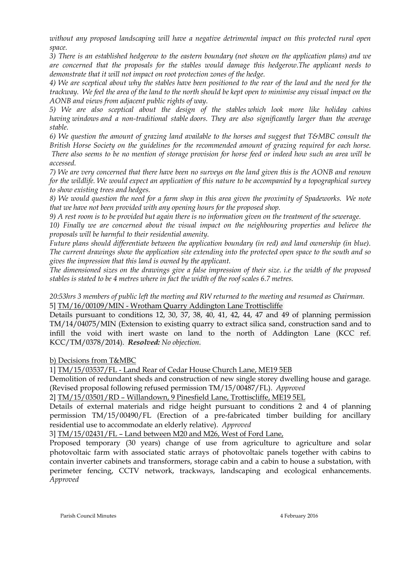*without any proposed landscaping will have a negative detrimental impact on this protected rural open space.*

*3) There is an established hedgerow to the eastern boundary (not shown on the application plans) and we are concerned that the proposals for the stables would damage this hedgerow.The applicant needs to demonstrate that it will not impact on root protection zones of the hedge.*

*4) We are sceptical about why the stables have been positioned to the rear of the land and the need for the trackway. We feel the area of the land to the north should be kept open to minimise any visual impact on the AONB and views from adjacent public rights of way.*

*5) We are also sceptical about the design of the stables which look more like holiday cabins having windows and a non-traditional stable doors. They are also significantly larger than the average stable.*

*6) We question the amount of grazing land available to the horses and suggest that T&MBC consult the British Horse Society on the guidelines for the recommended amount of grazing required for each horse. There also seems to be no mention of storage provision for horse feed or indeed how such an area will be accessed.*

*7) We are very concerned that there have been no surveys on the land given this is the AONB and renown for the wildlife. We would expect an application of this nature to be accompanied by a topographical survey to show existing trees and hedges.*

*8) We would question the need for a farm shop in this area given the proximity of Spadeworks. We note that we have not been provided with any opening hours for the proposed shop.*

*9) A rest room is to be provided but again there is no information given on the treatment of the sewerage.*

*10) Finally we are concerned about the visual impact on the neighbouring properties and believe the proposals will be harmful to their residential amenity.*

*Future plans should differentiate between the application boundary (in red) and land ownership (in blue). The current drawings show the application site extending into the protected open space to the south and so gives the impression that this land is owned by the applicant.*

*The dimensioned sizes on the drawings give a false impression of their size. i.e the width of the proposed stables is stated to be 4 metres where in fact the width of the roof scales 6.7 metres.*

# *20:53hrs 3 members of public left the meeting and RW returned to the meeting and resumed as Chairman.* 5] TM/16/00109/MIN - Wrotham Quarry Addington Lane Trottiscliffe

Details pursuant to conditions 12, 30, 37, 38, 40, 41, 42, 44, 47 and 49 of planning permission TM/14/04075/MIN (Extension to existing quarry to extract silica sand, construction sand and to infill the void with inert waste on land to the north of Addington Lane (KCC ref. KCC/TM/0378/2014). *Resolved: No objection.*

## b) Decisions from T&MBC

1] TM/15/03537/FL - Land Rear of Cedar House Church Lane, ME19 5EB

Demolition of redundant sheds and construction of new single storey dwelling house and garage. (Revised proposal following refused permission TM/15/00487/FL). *Approved*

2] TM/15/03501/RD – Willandown, 9 Pinesfield Lane, Trottiscliffe, ME19 5EL

Details of external materials and ridge height pursuant to conditions 2 and 4 of planning permission TM/15/00490/FL (Erection of a pre-fabricated timber building for ancillary residential use to accommodate an elderly relative). *Approved*

3] TM/15/02431/FL – Land between M20 and M26, West of Ford Lane,

Proposed temporary (30 years) change of use from agriculture to agriculture and solar photovoltaic farm with associated static arrays of photovoltaic panels together with cabins to contain inverter cabinets and transformers, storage cabin and a cabin to house a substation, with perimeter fencing, CCTV network, trackways, landscaping and ecological enhancements. *Approved*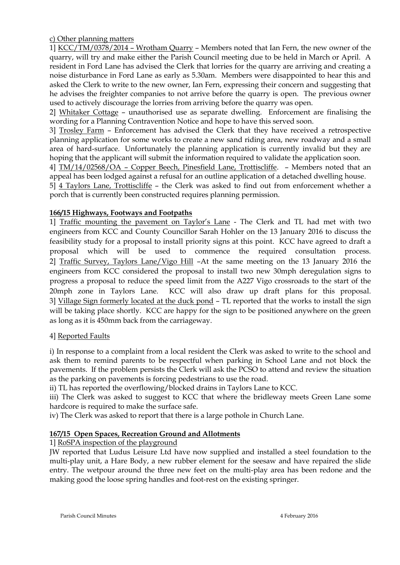c) Other planning matters

1] KCC/TM/0378/2014 – Wrotham Quarry – Members noted that Ian Fern, the new owner of the quarry, will try and make either the Parish Council meeting due to be held in March or April. A resident in Ford Lane has advised the Clerk that lorries for the quarry are arriving and creating a noise disturbance in Ford Lane as early as 5.30am. Members were disappointed to hear this and asked the Clerk to write to the new owner, Ian Fern, expressing their concern and suggesting that he advises the freighter companies to not arrive before the quarry is open. The previous owner used to actively discourage the lorries from arriving before the quarry was open.

2] Whitaker Cottage – unauthorised use as separate dwelling. Enforcement are finalising the wording for a Planning Contravention Notice and hope to have this served soon.

3] Trosley Farm – Enforcement has advised the Clerk that they have received a retrospective planning application for some works to create a new sand riding area, new roadway and a small area of hard-surface. Unfortunately the planning application is currently invalid but they are hoping that the applicant will submit the information required to validate the application soon.

4] TM/14/02568/OA – Copper Beech, Pinesfield Lane, Trottiscliffe. – Members noted that an appeal has been lodged against a refusal for an outline application of a detached dwelling house.

5] 4 Taylors Lane, Trottiscliffe – the Clerk was asked to find out from enforcement whether a porch that is currently been constructed requires planning permission.

# **166/15 Highways, Footways and Footpaths**

1] Traffic mounting the pavement on Taylor's Lane - The Clerk and TL had met with two engineers from KCC and County Councillor Sarah Hohler on the 13 January 2016 to discuss the feasibility study for a proposal to install priority signs at this point. KCC have agreed to draft a proposal which will be used to commence the required consultation process. 2] Traffic Survey, Taylors Lane/Vigo Hill –At the same meeting on the 13 January 2016 the engineers from KCC considered the proposal to install two new 30mph deregulation signs to progress a proposal to reduce the speed limit from the A227 Vigo crossroads to the start of the 20mph zone in Taylors Lane. KCC will also draw up draft plans for this proposal. 3] Village Sign formerly located at the duck pond – TL reported that the works to install the sign will be taking place shortly. KCC are happy for the sign to be positioned anywhere on the green as long as it is 450mm back from the carriageway.

## 4] Reported Faults

i) In response to a complaint from a local resident the Clerk was asked to write to the school and ask them to remind parents to be respectful when parking in School Lane and not block the pavements. If the problem persists the Clerk will ask the PCSO to attend and review the situation as the parking on pavements is forcing pedestrians to use the road.

ii) TL has reported the overflowing/blocked drains in Taylors Lane to KCC.

iii) The Clerk was asked to suggest to KCC that where the bridleway meets Green Lane some hardcore is required to make the surface safe.

iv) The Clerk was asked to report that there is a large pothole in Church Lane.

# **167/15 Open Spaces, Recreation Ground and Allotments**

1] RoSPA inspection of the playground

JW reported that Ludus Leisure Ltd have now supplied and installed a steel foundation to the multi-play unit, a Hare Body, a new rubber element for the seesaw and have repaired the slide entry. The wetpour around the three new feet on the multi-play area has been redone and the making good the loose spring handles and foot-rest on the existing springer.